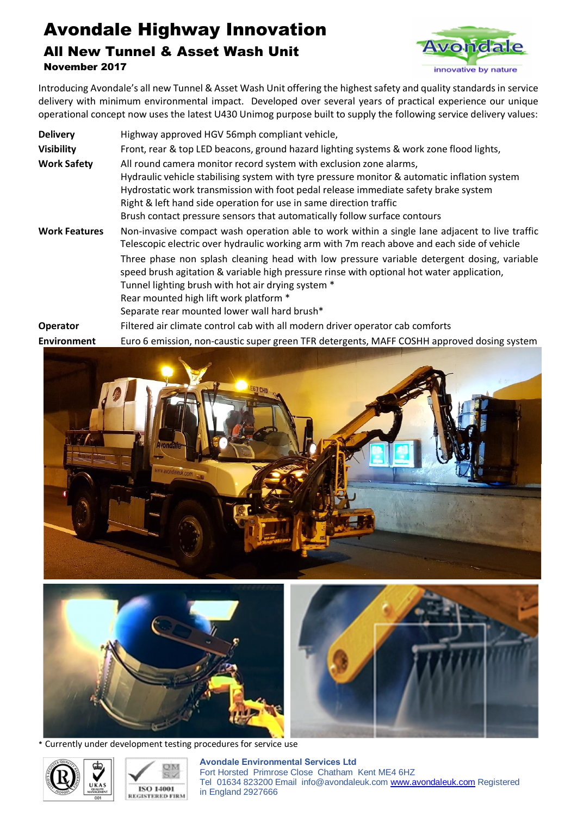## Avondale Highway Innovation All New Tunnel & Asset Wash Unit November 2017



Introducing Avondale's all new Tunnel & Asset Wash Unit offering the highest safety and quality standards in service delivery with minimum environmental impact. Developed over several years of practical experience our unique operational concept now uses the latest U430 Unimog purpose built to supply the following service delivery values:

| <b>Delivery</b>      | Highway approved HGV 56mph compliant vehicle,                                                                                                                                                                                                 |
|----------------------|-----------------------------------------------------------------------------------------------------------------------------------------------------------------------------------------------------------------------------------------------|
| <b>Visibility</b>    | Front, rear & top LED beacons, ground hazard lighting systems & work zone flood lights,                                                                                                                                                       |
| <b>Work Safety</b>   | All round camera monitor record system with exclusion zone alarms,                                                                                                                                                                            |
|                      | Hydraulic vehicle stabilising system with tyre pressure monitor & automatic inflation system                                                                                                                                                  |
|                      | Hydrostatic work transmission with foot pedal release immediate safety brake system                                                                                                                                                           |
|                      | Right & left hand side operation for use in same direction traffic                                                                                                                                                                            |
|                      | Brush contact pressure sensors that automatically follow surface contours                                                                                                                                                                     |
| <b>Work Features</b> | Non-invasive compact wash operation able to work within a single lane adjacent to live traffic<br>Telescopic electric over hydraulic working arm with 7m reach above and each side of vehicle                                                 |
|                      | Three phase non splash cleaning head with low pressure variable detergent dosing, variable<br>speed brush agitation & variable high pressure rinse with optional hot water application,<br>Tunnel lighting brush with hot air drying system * |
|                      | Rear mounted high lift work platform *                                                                                                                                                                                                        |
|                      |                                                                                                                                                                                                                                               |
|                      | Separate rear mounted lower wall hard brush*                                                                                                                                                                                                  |
| Operator             | Filtered air climate control cab with all modern driver operator cab comforts                                                                                                                                                                 |
| <b>Environment</b>   | Euro 6 emission, non-caustic super green TFR detergents, MAFF COSHH approved dosing system                                                                                                                                                    |





\* Currently under development testing procedures for service use





**Avondale Environmental Services Ltd**  Fort Horsted Primrose Close Chatham Kent ME4 6HZ Tel01634 823200 Emailinfo@avondaleuk.com www.avondaleuk.com Registered in England 2927666